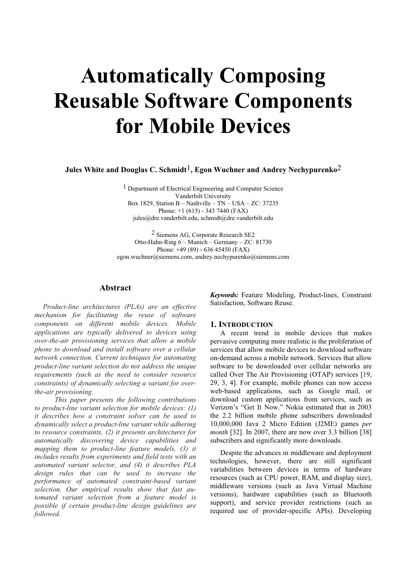# **Automatically Composing Reusable Software Components for Mobile Devices**

**Jules White and Douglas C. Schmidt**1**, Egon Wuchner and Andrey Nechypurenko**2

1 Department of Electrical Engineering and Computer Science Vanderbilt University Box 1829, Station B – Nashville – TN – USA – ZC: 37235 Phone: +1 (615) - 343 7440 (FAX) jules@dre.vanderbilt.edu, schmidt@dre.vanderbilt.edu

2 Siemens AG, Corporate Research SE2 Otto-Hahn-Ring 6 – Munich – Germany – ZC: 81730 Phone: +49 (89) - 636 45450 (FAX) egon.wuchner@siemens.com, andrey.nechypurenko@siemens.com

# **Abstract**

*Product-line architectures (PLAs) are an effective mechanism for facilitating the reuse of software components on different mobile devices. Mobile applications are typically delivered to devices using over-the-air provisioning services that allow a mobile phone to download and install software over a cellular network connection. Current techniques for automating product-line variant selection do not address the unique requirements (such as the need to consider resource constraints) of dynamically selecting a variant for overthe-air provisioning.* 

*This paper presents the following contributions to product-line variant selection for mobile devices: (1) it describes how a constraint solver can be used to dynamically select a product-line variant while adhering to resource constraints, (2) it presents architectures for automatically discovering device capabilities and mapping them to product-line feature models, (3) it includes results from experiments and field tests with an automated variant selector, and (4) it describes PLA design rules that can be used to increase the performance of automated constraint-based variant selection. Our empirical results show that fast automated variant selection from a feature model is possible if certain product-line design guidelines are followed.*

*Keywords:* Feature Modeling, Product-lines, Constraint Satisfaction, Software Reuse.

# **1. INTRODUCTION**

A recent trend in mobile devices that makes pervasive computing more realistic is the proliferation of services that allow mobile devices to download software on-demand across a mobile network. Services that allow software to be downloaded over cellular networks are called Over The Air Provisioning (OTAP) services [19, 29, 3, 4]. For example, mobile phones can now access web-based applications, such as Google mail, or download custom applications from services, such as Verizon's "Get It Now." Nokia estimated that in 2003 the 2.2 billion mobile phone subscribers downloaded 10,000,000 Java 2 Micro Edition (J2ME) games *per month* [32]. In 2007, there are now over 3.3 billion [38] subscribers and significantly more downloads.

Despite the advances in middleware and deployment technologies, however, there are still significant variabilities between devices in terms of hardware resources (such as CPU power, RAM, and display size), middleware versions (such as Java Virtual Machine versions), hardware capabilities (such as Bluetooth support), and service provider restrictions (such as required use of provider-specific APIs). Developing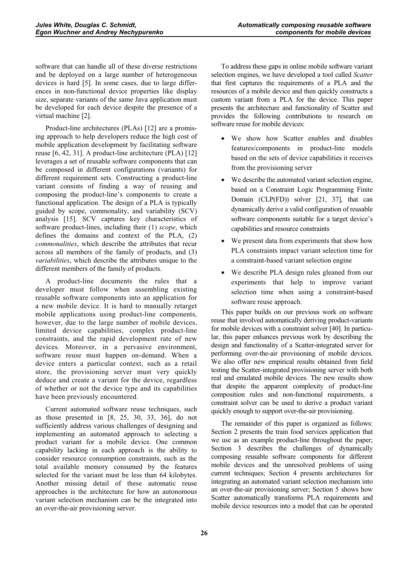software that can handle all of these diverse restrictions and be deployed on a large number of heterogeneous devices is hard [5]. In some cases, due to large differences in non-functional device properties like display size, separate variants of the same Java application must be developed for each device despite the presence of a virtual machine [2].

Product-line architectures (PLAs) [12] are a promising approach to help developers reduce the high cost of mobile application development by facilitating software reuse [6, 42, 31]. A product-line architecture (PLA) [12] leverages a set of reusable software components that can be composed in different configurations (variants) for different requirement sets. Constructing a product-line variant consists of finding a way of reusing and composing the product-line's components to create a functional application. The design of a PLA is typically guided by scope, commonality, and variability (SCV) analysis [15]. SCV captures key characteristics of software product-lines, including their (1) *scope*, which defines the domains and context of the PLA, (2) *commonalities*, which describe the attributes that recur across all members of the family of products, and (3) *variabilities*, which describe the attributes unique to the different members of the family of products.

A product-line documents the rules that a developer must follow when assembling existing reusable software components into an application for a new mobile device. It is hard to manually retarget mobile applications using product-line components, however, due to the large number of mobile devices, limited device capabilities, complex product-line constraints, and the rapid development rate of new devices. Moreover, in a pervasive environment, software reuse must happen on-demand. When a device enters a particular context, such as a retail store, the provisioning server must very quickly deduce and create a variant for the device, regardless of whether or not the device type and its capabilities have been previously encountered.

Current automated software reuse techniques, such as those presented in [8, 25, 30, 33, 36], do not sufficiently address various challenges of designing and implementing an automated approach to selecting a product variant for a mobile device. One common capability lacking in each approach is the ability to consider resource consumption constraints, such as the total available memory consumed by the features selected for the variant must be less than 64 kilobytes. Another missing detail of these automatic reuse approaches is the architecture for how an autonomous variant selection mechanism can be the integrated into an over-the-air provisioning server.

To address these gaps in online mobile software variant selection engines, we have developed a tool called *Scatter*  that first captures the requirements of a PLA and the resources of a mobile device and then quickly constructs a custom variant from a PLA for the device. This paper presents the architecture and functionality of Scatter and provides the following contributions to research on software reuse for mobile devices:

- - We show how Scatter enables and disables features/components in product-line models based on the sets of device capabilities it receives from the provisioning server
- We describe the automated variant selection engine, based on a Constraint Logic Programming Finite Domain (CLP(FD)) solver [21, 37], that can dynamically derive a valid configuration of reusable software components suitable for a target device's capabilities and resource constraints
- We present data from experiments that show how PLA constraints impact variant selection time for a constraint-based variant selection engine
- We describe PLA design rules gleaned from our experiments that help to improve variant selection time when using a constraint-based software reuse approach.

This paper builds on our previous work on software reuse that involved automatically deriving product-variants for mobile devices with a constraint solver [40]. In particular, this paper enhances previous work by describing the design and functionality of a Scatter-integrated server for performing over-the-air provisioning of mobile devices. We also offer new empirical results obtained from field testing the Scatter-integrated provisioning server with both real and emulated mobile devices. The new results show that despite the apparent complexity of product-line composition rules and non-functional requirements, a constraint solver can be used to derive a product variant quickly enough to support over-the-air provisioning.

The remainder of this paper is organized as follows: Section 2 presents the train food services application that we use as an example product-line throughout the paper; Section 3 describes the challenges of dynamically composing reusable software components for different mobile devices and the unresolved problems of using current techniques; Section 4 presents architectures for integrating an automated variant selection mechanism into an over-the-air provisioning server; Section 5 shows how Scatter automatically transforms PLA requirements and mobile device resources into a model that can be operated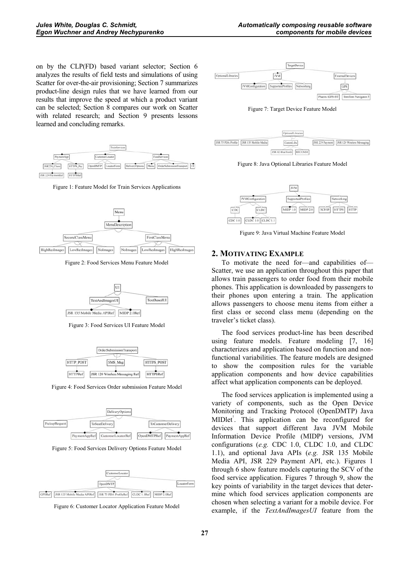on by the CLP(FD) based variant selector; Section 6 analyzes the results of field tests and simulations of using Scatter for over-the-air provisioning; Section 7 summarizes product-line design rules that we have learned from our results that improve the speed at which a product variant can be selected; Section 8 compares our work on Scatter with related research; and Section 9 presents lessons learned and concluding remarks.



Figure 1: Feature Model for Train Services Applications



Figure 2: Food Services Menu Feature Model



Figure 3: Food Services UI Feature Model



Figure 4: Food Services Order submission Feature Model



Figure 5: Food Services Delivery Options Feature Model







Figure 7: Target Device Feature Model



Figure 8: Java Optional Libraries Feature Model



Figure 9: Java Virtual Machine Feature Model

# **2. MOTIVATING EXAMPLE**

To motivate the need for—and capabilities of— Scatter, we use an application throughout this paper that allows train passengers to order food from their mobile phones. This application is downloaded by passengers to their phones upon entering a train. The application allows passengers to choose menu items from either a first class or second class menu (depending on the traveler's ticket class).

The food services product-line has been described using feature models. Feature modeling [7, 16] characterizes and application based on function and nonfunctional variabilities. The feature models are designed to show the composition rules for the variable application components and how device capabilities affect what application components can be deployed.

The food services application is implemented using a variety of components, such as the Open Device Monitoring and Tracking Protocol (OpenDMTP) Java MIDlet<sup>'</sup>. This application can be reconfigured for devices that support different Java JVM Mobile Information Device Profile (MIDP) versions, JVM configurations (*e.g.* CDC 1.0, CLDC 1.0, and CLDC 1.1), and optional Java APIs (*e.g.* JSR 135 Mobile Media API, JSR 229 Payment API, etc.). Figures 1 through 6 show feature models capturing the SCV of the food service application. Figures 7 through 9, show the key points of variability in the target devices that determine which food services application components are chosen when selecting a variant for a mobile device. For example, if the *TextAndImagesUI* feature from the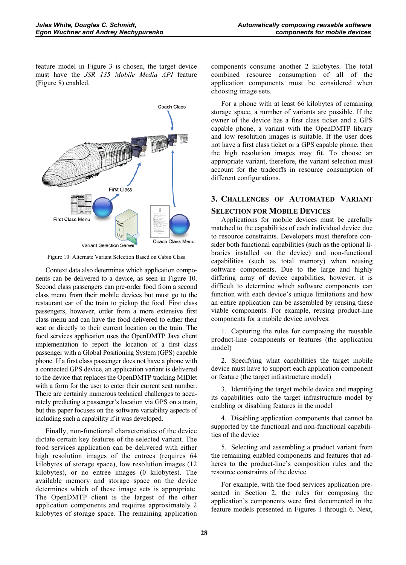feature model in Figure 3 is chosen, the target device must have the *JSR 135 Mobile Media API* feature (Figure 8) enabled.



Figure 10: Alternate Variant Selection Based on Cabin Class

Context data also determines which application components can be delivered to a device, as seen in Figure 10. Second class passengers can pre-order food from a second class menu from their mobile devices but must go to the restaurant car of the train to pickup the food. First class passengers, however, order from a more extensive first class menu and can have the food delivered to either their seat or directly to their current location on the train. The food services application uses the OpenDMTP Java client implementation to report the location of a first class passenger with a Global Positioning System (GPS) capable phone. If a first class passenger does not have a phone with a connected GPS device, an application variant is delivered to the device that replaces the OpenDMTP tracking MIDlet with a form for the user to enter their current seat number. There are certainly numerous technical challenges to accurately predicting a passenger's location via GPS on a train, but this paper focuses on the software variability aspects of including such a capability if it was developed.

Finally, non-functional characteristics of the device dictate certain key features of the selected variant. The food services application can be delivered with either high resolution images of the entrees (requires 64 kilobytes of storage space), low resolution images (12 kilobytes), or no entree images (0 kilobytes). The available memory and storage space on the device determines which of these image sets is appropriate. The OpenDMTP client is the largest of the other application components and requires approximately 2 kilobytes of storage space. The remaining application components consume another 2 kilobytes. The total combined resource consumption of all of the application components must be considered when choosing image sets.

For a phone with at least 66 kilobytes of remaining storage space, a number of variants are possible. If the owner of the device has a first class ticket and a GPS capable phone, a variant with the OpenDMTP library and low resolution images is suitable. If the user does not have a first class ticket or a GPS capable phone, then the high resolution images may fit. To choose an appropriate variant, therefore, the variant selection must account for the tradeoffs in resource consumption of different configurations.

# **3. CHALLENGES OF AUTOMATED VARIANT**

# **SELECTION FOR MOBILE DEVICES**

Applications for mobile devices must be carefully matched to the capabilities of each individual device due to resource constraints. Developers must therefore consider both functional capabilities (such as the optional libraries installed on the device) and non-functional capabilities (such as total memory) when reusing software components. Due to the large and highly differing array of device capabilities, however, it is difficult to determine which software components can function with each device's unique limitations and how an entire application can be assembled by reusing these viable components. For example, reusing product-line components for a mobile device involves:

1. Capturing the rules for composing the reusable product-line components or features (the application model)

2. Specifying what capabilities the target mobile device must have to support each application component or feature (the target infrastructure model)

3. Identifying the target mobile device and mapping its capabilities onto the target infrastructure model by enabling or disabling features in the model

4. Disabling application components that cannot be supported by the functional and non-functional capabilities of the device

5. Selecting and assembling a product variant from the remaining enabled components and features that adheres to the product-line's composition rules and the resource constraints of the device.

For example, with the food services application presented in Section 2, the rules for composing the application's components were first documented in the feature models presented in Figures 1 through 6. Next,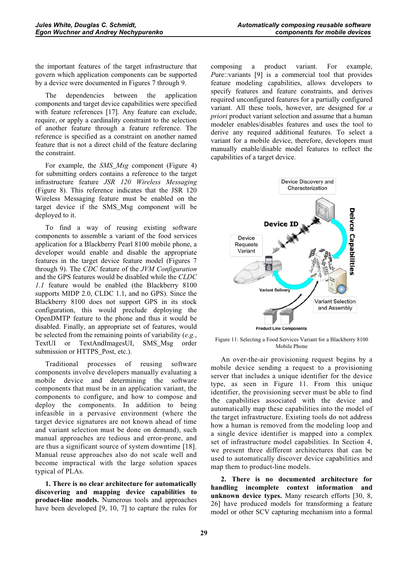the important features of the target infrastructure that govern which application components can be supported by a device were documented in Figures 7 through 9.

The dependencies between the application components and target device capabilities were specified with feature references [17]. Any feature can exclude, require, or apply a cardinality constraint to the selection of another feature through a feature reference. The reference is specified as a constraint on another named feature that is not a direct child of the feature declaring the constraint.

For example, the *SMS\_Msg* component (Figure 4) for submitting orders contains a reference to the target infrastructure feature *JSR 120 Wireless Messaging*  (Figure 8). This reference indicates that the JSR 120 Wireless Messaging feature must be enabled on the target device if the SMS\_Msg component will be deployed to it.

To find a way of reusing existing software components to assemble a variant of the food services application for a Blackberry Pearl 8100 mobile phone, a developer would enable and disable the appropriate features in the target device feature model (Figures 7 through 9). The *CDC* feature of the *JVM Configuration*  and the GPS features would be disabled while the *CLDC 1.1* feature would be enabled (the Blackberry 8100 supports MIDP 2.0, CLDC 1.1, and no GPS). Since the Blackberry 8100 does not support GPS in its stock configuration, this would preclude deploying the OpenDMTP feature to the phone and thus it would be disabled. Finally, an appropriate set of features, would be selected from the remaining points of variability (*e.g.*, TextUI or TextAndImagesUI, SMS\_Msg order submission or HTTPS\_Post, etc.).

Traditional processes of reusing software components involve developers manually evaluating a mobile device and determining the software components that must be in an application variant, the components to configure, and how to compose and deploy the components. In addition to being infeasible in a pervasive environment (where the target device signatures are not known ahead of time and variant selection must be done on demand), such manual approaches are tedious and error-prone, and are thus a significant source of system downtime [18]. Manual reuse approaches also do not scale well and become impractical with the large solution spaces typical of PLAs.

**1. There is no clear architecture for automatically discovering and mapping device capabilities to product-line models.** Numerous tools and approaches have been developed [9, 10, 7] to capture the rules for composing a product variant. For example, *P*ure::variants [9] is a commercial tool that provides feature modeling capabilities, allows developers to specify features and feature constraints, and derives required unconfigured features for a partially configured variant. All these tools, however, are designed for *a priori* product variant selection and assume that a human modeler enables/disables features and uses the tool to derive any required additional features. To select a variant for a mobile device, therefore, developers must manually enable/disable model features to reflect the capabilities of a target device.



Figure 11: Selecting a Food Services Variant for a Blackberry 8100 Mobile Phone

An over-the-air provisioning request begins by a mobile device sending a request to a provisioning server that includes a unique identifier for the device type, as seen in Figure 11. From this unique identifier, the provisioning server must be able to find the capabilities associated with the device and automatically map these capabilities into the model of the target infrastructure. Existing tools do not address how a human is removed from the modeling loop and a single device identifier is mapped into a complex set of infrastructure model capabilities. In Section 4, we present three different architectures that can be used to automatically discover device capabilities and map them to product-line models.

**2. There is no documented architecture for handling incomplete context information and unknown device types.** Many research efforts [30, 8, 26] have produced models for transforming a feature model or other SCV capturing mechanism into a formal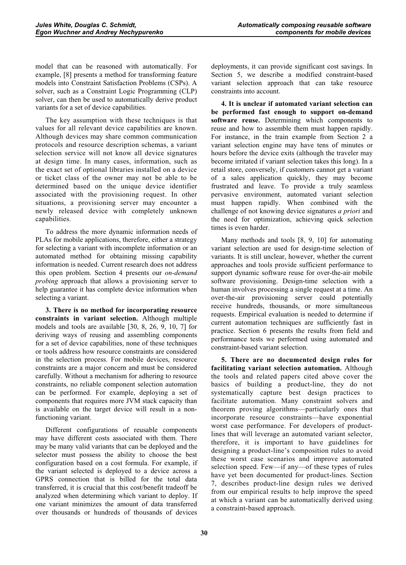model that can be reasoned with automatically. For example, [8] presents a method for transforming feature models into Constraint Satisfaction Problems (CSPs). A solver, such as a Constraint Logic Programming (CLP) solver, can then be used to automatically derive product variants for a set of device capabilities.

The key assumption with these techniques is that values for all relevant device capabilities are known. Although devices may share common communication protocols and resource description schemas, a variant selection service will not know all device signatures at design time. In many cases, information, such as the exact set of optional libraries installed on a device or ticket class of the owner may not be able to be determined based on the unique device identifier associated with the provisioning request. In other situations, a provisioning server may encounter a newly released device with completely unknown capabilities.

To address the more dynamic information needs of PLAs for mobile applications, therefore, either a strategy for selecting a variant with incomplete information or an automated method for obtaining missing capability information is needed. Current research does not address this open problem. Section 4 presents our *on-demand probing* approach that allows a provisioning server to help guarantee it has complete device information when selecting a variant.

**3. There is no method for incorporating resource constraints in variant selection.** Although multiple models and tools are available [30, 8, 26, 9, 10, 7] for deriving ways of reusing and assembling components for a set of device capabilities, none of these techniques or tools address how resource constraints are considered in the selection process. For mobile devices, resource constraints are a major concern and must be considered carefully. Without a mechanism for adhering to resource constraints, no reliable component selection automation can be performed. For example, deploying a set of components that requires more JVM stack capacity than is available on the target device will result in a nonfunctioning variant.

Different configurations of reusable components may have different costs associated with them. There may be many valid variants that can be deployed and the selector must possess the ability to choose the best configuration based on a cost formula. For example, if the variant selected is deployed to a device across a GPRS connection that is billed for the total data transferred, it is crucial that this cost/benefit tradeoff be analyzed when determining which variant to deploy. If one variant minimizes the amount of data transferred over thousands or hundreds of thousands of devices

deployments, it can provide significant cost savings. In Section 5, we describe a modified constraint-based variant selection approach that can take resource constraints into account.

**4. It is unclear if automated variant selection can be performed fast enough to support on-demand software reuse.** Determining which components to reuse and how to assemble them must happen rapidly. For instance, in the train example from Section 2 a variant selection engine may have tens of minutes or hours before the device exits (although the traveler may become irritated if variant selection takes this long). In a retail store, conversely, if customers cannot get a variant of a sales application quickly, they may become frustrated and leave. To provide a truly seamless pervasive environment, automated variant selection must happen rapidly. When combined with the challenge of not knowing device signatures *a priori* and the need for optimization, achieving quick selection times is even harder.

Many methods and tools [8, 9, 10] for automating variant selection are used for design-time selection of variants. It is still unclear, however, whether the current approaches and tools provide sufficient performance to support dynamic software reuse for over-the-air mobile software provisioning. Design-time selection with a human involves processing a single request at a time. An over-the-air provisioning server could potentially receive hundreds, thousands, or more simultaneous requests. Empirical evaluation is needed to determine if current automation techniques are sufficiently fast in practice. Section 6 presents the results from field and performance tests we performed using automated and constraint-based variant selection.

**5. There are no documented design rules for facilitating variant selection automation.** Although the tools and related papers cited above cover the basics of building a product-line, they do not systematically capture best design practices to facilitate automation. Many constraint solvers and theorem proving algorithms—particularly ones that incorporate resource constraints—have exponential worst case performance. For developers of productlines that will leverage an automated variant selector, therefore, it is important to have guidelines for designing a product-line's composition rules to avoid these worst case scenarios and improve automated selection speed. Few—if any—of these types of rules have yet been documented for product-lines. Section 7, describes product-line design rules we derived from our empirical results to help improve the speed at which a variant can be automatically derived using a constraint-based approach.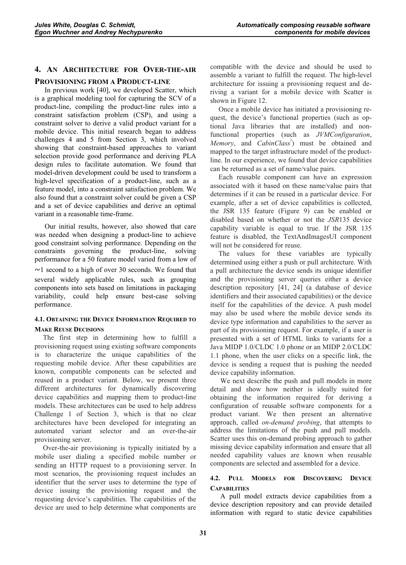# **4. AN ARCHITECTURE FOR OVER-THE-AIR**

# **PROVISIONING FROM A PRODUCT-LINE**

In previous work [40], we developed Scatter, which is a graphical modeling tool for capturing the SCV of a product-line, compiling the product-line rules into a constraint satisfaction problem (CSP), and using a constraint solver to derive a valid product variant for a mobile device. This initial research began to address challenges 4 and 5 from Section 3, which involved showing that constraint-based approaches to variant selection provide good performance and deriving PLA design rules to facilitate automation. We found that model-driven development could be used to transform a high-level specification of a product-line, such as a feature model, into a constraint satisfaction problem. We also found that a constraint solver could be given a CSP and a set of device capabilities and derive an optimal variant in a reasonable time-frame.

Our initial results, however, also showed that care was needed when designing a product-line to achieve good constraint solving performance. Depending on the constraints governing the product-line, solving performance for a 50 feature model varied from a low of  $\sim$ 1 second to a high of over 30 seconds. We found that several widely applicable rules, such as grouping components into sets based on limitations in packaging variability, could help ensure best-case solving performance.

# **4.1. OBTAINING THE DEVICE INFORMATION REQUIRED TO MAKE REUSE DECISIONS**

The first step in determining how to fulfill a provisioning request using existing software components is to characterize the unique capabilities of the requesting mobile device. After these capabilities are known, compatible components can be selected and reused in a product variant. Below, we present three different architectures for dynamically discovering device capabilities and mapping them to product-line models. These architectures can be used to help address Challenge 1 of Section 3, which is that no clear architectures have been developed for integrating an automated variant selector and an over-the-air provisioning server.

Over-the-air provisioning is typically initiated by a mobile user dialing a specified mobile number or sending an HTTP request to a provisioning server. In most scenarios, the provisioning request includes an identifier that the server uses to determine the type of device issuing the provisioning request and the requesting device's capabilities. The capabilities of the device are used to help determine what components are compatible with the device and should be used to assemble a variant to fulfill the request. The high-level architecture for issuing a provisioning request and deriving a variant for a mobile device with Scatter is shown in Figure 12.

Once a mobile device has initiated a provisioning request, the device's functional properties (such as optional Java libraries that are installed) and nonfunctional properties (such as *JVMConfiguration*, *Memory*, and *CabinClass*<sup>2</sup>) must be obtained and mapped to the target infrastructure model of the productline. In our experience, we found that device capabilities can be returned as a set of name/value pairs.

Each reusable component can have an expression associated with it based on these name/value pairs that determines if it can be reused in a particular device. For example, after a set of device capabilities is collected, the JSR 135 feature (Figure 9) can be enabled or disabled based on whether or not the *JSR*135 device capability variable is equal to true. If the JSR 135 feature is disabled, the TextAndImagesUI component will not be considered for reuse.

The values for these variables are typically determined using either a push or pull architecture. With a pull architecture the device sends its unique identifier and the provisioning server queries either a device description repository [41, 24] (a database of device identifiers and their associated capabilities) or the device itself for the capabilities of the device. A push model may also be used where the mobile device sends its device type information and capabilities to the server as part of its provisioning request. For example, if a user is presented with a set of HTML links to variants for a Java MIDP 1.0/CLDC 1.0 phone or an MIDP 2.0/CLDC 1.1 phone, when the user clicks on a specific link, the device is sending a request that is pushing the needed device capability information.

We next describe the push and pull models in more detail and show how neither is ideally suited for obtaining the information required for deriving a configuration of reusable software components for a product variant. We then present an alternative approach, called *on-demand probing*, that attempts to address the limitations of the push and pull models. Scatter uses this on-demand probing approach to gather missing device capability information and ensure that all needed capability values are known when reusable components are selected and assembled for a device.

# **4.2. PULL MODELS FOR DISCOVERING DEVICE CAPABILITIES**

A pull model extracts device capabilities from a device description repository and can provide detailed information with regard to static device capabilities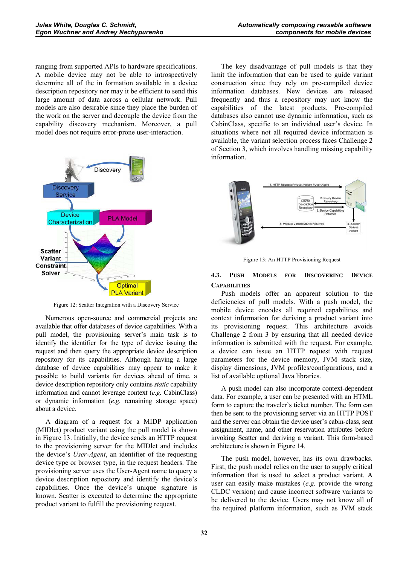ranging from supported APIs to hardware specifications. A mobile device may not be able to introspectively determine all of the in formation available in a device description repository nor may it be efficient to send this large amount of data across a cellular network. Pull models are also desirable since they place the burden of the work on the server and decouple the device from the capability discovery mechanism. Moreover, a pull model does not require error-prone user-interaction.



Figure 12: Scatter Integration with a Discovery Service

Numerous open-source and commercial projects are available that offer databases of device capabilities. With a pull model, the provisioning server's main task is to identify the identifier for the type of device issuing the request and then query the appropriate device description repository for its capabilities. Although having a large database of device capabilities may appear to make it possible to build variants for devices ahead of time, a device description repository only contains *static* capability information and cannot leverage context (*e.g.* CabinClass) or dynamic information (*e.g.* remaining storage space) about a device.

A diagram of a request for a MIDP application (MIDlet) product variant using the pull model is shown in Figure 13. Initially, the device sends an HTTP request to the provisioning server for the MIDlet and includes the device's *User-Agent*, an identifier of the requesting device type or browser type, in the request headers. The provisioning server uses the User-Agent name to query a device description repository and identify the device's capabilities. Once the device's unique signature is known, Scatter is executed to determine the appropriate product variant to fulfill the provisioning request.

The key disadvantage of pull models is that they limit the information that can be used to guide variant construction since they rely on pre-compiled device information databases. New devices are released frequently and thus a repository may not know the capabilities of the latest products. Pre-compiled databases also cannot use dynamic information, such as CabinClass, specific to an individual user's device. In situations where not all required device information is available, the variant selection process faces Challenge 2 of Section 3, which involves handling missing capability information.



Figure 13: An HTTP Provisioning Request

# **4.3. PUSH MODELS FOR DISCOVERING DEVICE CAPABILITIES**

Push models offer an apparent solution to the deficiencies of pull models. With a push model, the mobile device encodes all required capabilities and context information for deriving a product variant into its provisioning request. This architecture avoids Challenge 2 from 3 by ensuring that all needed device information is submitted with the request. For example, a device can issue an HTTP request with request parameters for the device memory, JVM stack size, display dimensions, JVM profiles/configurations, and a list of available optional Java libraries.

A push model can also incorporate context-dependent data. For example, a user can be presented with an HTML form to capture the traveler's ticket number. The form can then be sent to the provisioning server via an HTTP POST and the server can obtain the device user's cabin-class, seat assignment, name, and other reservation attributes before invoking Scatter and deriving a variant. This form-based architecture is shown in Figure 14.

The push model, however, has its own drawbacks. First, the push model relies on the user to supply critical information that is used to select a product variant. A user can easily make mistakes (*e.g.* provide the wrong CLDC version) and cause incorrect software variants to be delivered to the device. Users may not know all of the required platform information, such as JVM stack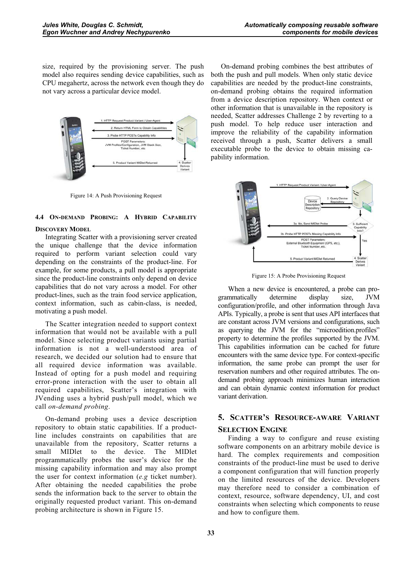size, required by the provisioning server. The push model also requires sending device capabilities, such as CPU megahertz, across the network even though they do not vary across a particular device model.



Figure 14: A Push Provisioning Request

# **4.4 ON-DEMAND PROBING: A HYBRID CAPABILITY**

#### **DISCOVERY MODEL**

Integrating Scatter with a provisioning server created the unique challenge that the device information required to perform variant selection could vary depending on the constraints of the product-line. For example, for some products, a pull model is appropriate since the product-line constraints only depend on device capabilities that do not vary across a model. For other product-lines, such as the train food service application, context information, such as cabin-class, is needed, motivating a push model.

The Scatter integration needed to support context information that would not be available with a pull model. Since selecting product variants using partial information is not a well-understood area of research, we decided our solution had to ensure that all required device information was available. Instead of opting for a push model and requiring error-prone interaction with the user to obtain all required capabilities, Scatter's integration with JVending uses a hybrid push/pull model, which we call *on-demand probing*.

On-demand probing uses a device description repository to obtain static capabilities. If a productline includes constraints on capabilities that are unavailable from the repository, Scatter returns a small MIDlet to the device. The MIDlet programmatically probes the user's device for the missing capability information and may also prompt the user for context information (*e.g* ticket number). After obtaining the needed capabilities the probe sends the information back to the server to obtain the originally requested product variant. This on-demand probing architecture is shown in Figure 15.

On-demand probing combines the best attributes of both the push and pull models. When only static device capabilities are needed by the product-line constraints, on-demand probing obtains the required information from a device description repository. When context or other information that is unavailable in the repository is needed, Scatter addresses Challenge 2 by reverting to a push model. To help reduce user interaction and improve the reliability of the capability information received through a push, Scatter delivers a small executable probe to the device to obtain missing capability information.



Figure 15: A Probe Provisioning Request

When a new device is encountered, a probe can programmatically determine display size, JVM configuration/profile, and other information through Java APIs. Typically, a probe is sent that uses API interfaces that are constant across JVM versions and configurations, such as querying the JVM for the "microedition.profiles" property to determine the profiles supported by the JVM. This capabilities information can be cached for future encounters with the same device type. For context-specific information, the same probe can prompt the user for reservation numbers and other required attributes. The ondemand probing approach minimizes human interaction and can obtain dynamic context information for product variant derivation.

# **5. SCATTER'S RESOURCE-AWARE VARIANT**

# **SELECTION ENGINE**

Finding a way to configure and reuse existing software components on an arbitrary mobile device is hard. The complex requirements and composition constraints of the product-line must be used to derive a component configuration that will function properly on the limited resources of the device. Developers may therefore need to consider a combination of context, resource, software dependency, UI, and cost constraints when selecting which components to reuse and how to configure them.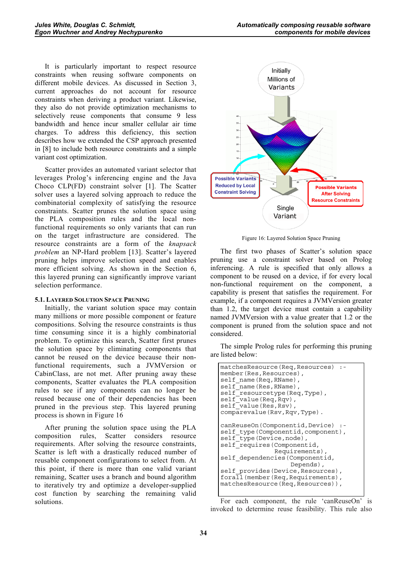It is particularly important to respect resource constraints when reusing software components on different mobile devices. As discussed in Section 3, current approaches do not account for resource constraints when deriving a product variant. Likewise, they also do not provide optimization mechanisms to selectively reuse components that consume 9 less bandwidth and hence incur smaller cellular air time charges. To address this deficiency, this section describes how we extended the CSP approach presented in [8] to include both resource constraints and a simple variant cost optimization.

Scatter provides an automated variant selector that leverages Prolog's inferencing engine and the Java Choco CLP(FD) constraint solver [1]. The Scatter solver uses a layered solving approach to reduce the combinatorial complexity of satisfying the resource constraints. Scatter prunes the solution space using the PLA composition rules and the local nonfunctional requirements so only variants that can run on the target infrastructure are considered. The resource constraints are a form of the *knapsack problem* an NP-Hard problem [13]. Scatter's layered pruning helps improve selection speed and enables more efficient solving. As shown in the Section 6, this layered pruning can significantly improve variant selection performance.

#### **5.1. LAYERED SOLUTION SPACE PRUNING**

Initially, the variant solution space may contain many millions or more possible component or feature compositions. Solving the resource constraints is thus time consuming since it is a highly combinatorial problem. To optimize this search, Scatter first prunes the solution space by eliminating components that cannot be reused on the device because their nonfunctional requirements, such a JVMVersion or CabinClass, are not met. After pruning away these components, Scatter evaluates the PLA composition rules to see if any components can no longer be reused because one of their dependencies has been pruned in the previous step. This layered pruning process is shown in Figure 16

After pruning the solution space using the PLA composition rules, Scatter considers resource requirements. After solving the resource constraints, Scatter is left with a drastically reduced number of reusable component configurations to select from. At this point, if there is more than one valid variant remaining, Scatter uses a branch and bound algorithm to iteratively try and optimize a developer-supplied cost function by searching the remaining valid solutions.



Figure 16: Layered Solution Space Pruning

The first two phases of Scatter's solution space pruning use a constraint solver based on Prolog inferencing. A rule is specified that only allows a component to be reused on a device, if for every local non-functional requirement on the component, a capability is present that satisfies the requirement. For example, if a component requires a JVMVersion greater than 1.2, the target device must contain a capability named JVMVersion with a value greater that 1.2 or the component is pruned from the solution space and not considered.

The simple Prolog rules for performing this pruning are listed below:

| matchesResource (Req, Resources) :-<br>member (Res, Resources),<br>self name (Req, RName),<br>self name (Res, RName),<br>self resourcetype (Req, Type),<br>self value (Req, Rqv),<br>self value (Res, Rsv),<br>comparevalue (Rsv, Rqv, Type).                                                                             |
|---------------------------------------------------------------------------------------------------------------------------------------------------------------------------------------------------------------------------------------------------------------------------------------------------------------------------|
| canReuseOn(Componentid,Device) :-<br>self type (Componentid, component),<br>self type (Device, node),<br>self requires (Componentid,<br>Requirements),<br>self dependencies (Componentid,<br>Depends),<br>self provides (Device, Resources),<br>forall (member (Req, Requirements),<br>matchesResource (Req, Resources)), |

For each component, the rule 'canReuseOn' is invoked to determine reuse feasibility. This rule also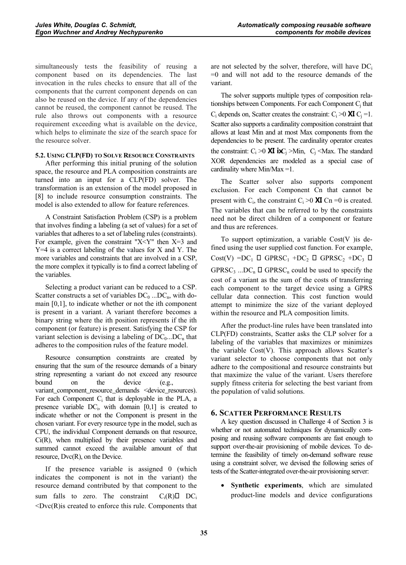simultaneously tests the feasibility of reusing a component based on its dependencies. The last invocation in the rules checks to ensure that all of the components that the current component depends on can also be reused on the device. If any of the dependencies cannot be reused, the component cannot be reused. The rule also throws out components with a resource requirement exceeding what is available on the device, which helps to eliminate the size of the search space for the resource solver.

#### **5.2. USING CLP(FD) TO SOLVE RESOURCE CONSTRAINTS**

After performing this initial pruning of the solution space, the resource and PLA composition constraints are turned into an input for a CLP(FD) solver. The transformation is an extension of the model proposed in [8] to include resource consumption constraints. The model is also extended to allow for feature references.

A Constraint Satisfaction Problem (CSP) is a problem that involves finding a labeling (a set of values) for a set of variables that adheres to a set of labeling rules (constraints). For example, given the constraint " $X < Y$ " then  $X = 3$  and Y=4 is a correct labeling of the values for X and Y. The more variables and constraints that are involved in a CSP, the more complex it typically is to find a correct labeling of the variables.

Selecting a product variant can be reduced to a CSP. Scatter constructs a set of variables  $DC_0$  ... $DC_n$ , with domain [0,1], to indicate whether or not the ith component is present in a variant. A variant therefore becomes a binary string where the ith position represents if the ith component (or feature) is present. Satisfying the CSP for variant selection is devising a labeling of  $DC_0...DC_n$  that adheres to the composition rules of the feature model.

Resource consumption constraints are created by ensuring that the sum of the resource demands of a binary string representing a variant do not exceed any resource bound on the device (e.g., variant\_component\_resource\_demands <device\_resources). For each Component  $C_i$  that is deployable in the PLA, a presence variable  $DC_i$ , with domain  $[0,1]$  is created to indicate whether or not the Component is present in the chosen variant. For every resource type in the model, such as CPU, the individual Component demands on that resource, Ci(R), when multiplied by their presence variables and summed cannot exceed the available amount of that resource, Dvc(R), on the Device.

If the presence variable is assigned 0 (which indicates the component is not in the variant) the resource demand contributed by that component to the sum falls to zero. The constraint  $C_i(R)$  DC<sub>i</sub>  $\langle Dvc(R)$  is created to enforce this rule. Components that are not selected by the solver, therefore, will have  $DC_i$ =0 and will not add to the resource demands of the variant.

The solver supports multiple types of composition relationships between Components. For each Component  $C_j$  that  $C_i$  depends on, Scatter creates the constraint:  $C_i > 0$  **XI**  $C_i = 1$ . Scatter also supports a cardinality composition constraint that allows at least Min and at most Max components from the dependencies to be present. The cardinality operator creates the constraint:  $C_i > 0$  XI ix  $C_j > Min$ ,  $C_j <$ Max. The standard XOR dependencies are modeled as a special case of cardinality where Min/Max =1.

The Scatter solver also supports component exclusion. For each Component Cn that cannot be present with C<sub>i</sub>, the constraint C<sub>i</sub> >0 **XI** Cn =0 is created. The variables that can be referred to by the constraints need not be direct children of a component or feature and thus are references.

To support optimization, a variable  $Cost(V)$  is defined using the user supplied cost function. For example, Cost(V) = $DC_1$   $\Box$  GPRSC<sub>1</sub> + $DC_2$   $\Box$  GPRSC<sub>2</sub> + $DC_3$   $\Box$ GPRSC<sub>3</sub> ...DC<sub>n</sub>  $\Box$  GPRSC<sub>n</sub> could be used to specify the cost of a variant as the sum of the costs of transferring each component to the target device using a GPRS cellular data connection. This cost function would attempt to minimize the size of the variant deployed within the resource and PLA composition limits.

After the product-line rules have been translated into CLP(FD) constraints, Scatter asks the CLP solver for a labeling of the variables that maximizes or minimizes the variable  $Cost(V)$ . This approach allows Scatter's variant selector to choose components that not only adhere to the compositional and resource constraints but that maximize the value of the variant. Users therefore supply fitness criteria for selecting the best variant from the population of valid solutions.

# **6. SCATTER PERFORMANCE RESULTS**

A key question discussed in Challenge 4 of Section 3 is whether or not automated techniques for dynamically composing and reusing software components are fast enough to support over-the-air provisioning of mobile devices. To determine the feasibility of timely on-demand software reuse using a constraint solver, we devised the following series of tests of the Scatter-integrated over-the-air provisioning server:

- **Synthetic experiments**, which are simulated product-line models and device configurations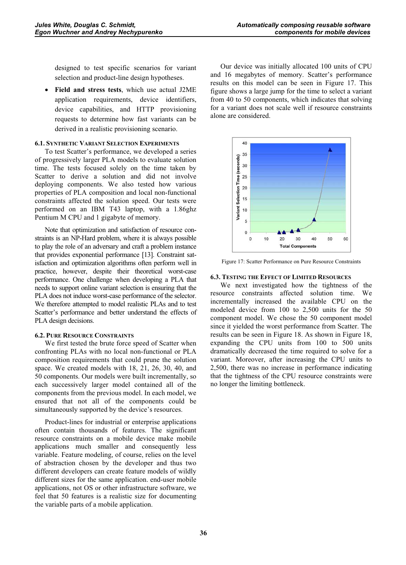designed to test specific scenarios for variant selection and product-line design hypotheses.

- **Field and stress tests**, which use actual J2ME application requirements, device identifiers, device capabilities, and HTTP provisioning requests to determine how fast variants can be derived in a realistic provisioning scenario.

#### **6.1. SYNTHETIC VARIANT SELECTION EXPERIMENTS**

To test Scatter's performance, we developed a series of progressively larger PLA models to evaluate solution time. The tests focused solely on the time taken by Scatter to derive a solution and did not involve deploying components. We also tested how various properties of PLA composition and local non-functional constraints affected the solution speed. Our tests were performed on an IBM T43 laptop, with a 1.86ghz Pentium M CPU and 1 gigabyte of memory.

Note that optimization and satisfaction of resource constraints is an NP-Hard problem, where it is always possible to play the role of an adversary and craft a problem instance that provides exponential performance [13]. Constraint satisfaction and optimization algorithms often perform well in practice, however, despite their theoretical worst-case performance. One challenge when developing a PLA that needs to support online variant selection is ensuring that the PLA does not induce worst-case performance of the selector. We therefore attempted to model realistic PLAs and to test Scatter's performance and better understand the effects of PLA design decisions.

#### **6.2. PURE RESOURCE CONSTRAINTS**

We first tested the brute force speed of Scatter when confronting PLAs with no local non-functional or PLA composition requirements that could prune the solution space. We created models with 18, 21, 26, 30, 40, and 50 components. Our models were built incrementally, so each successively larger model contained all of the components from the previous model. In each model, we ensured that not all of the components could be simultaneously supported by the device's resources.

Product-lines for industrial or enterprise applications often contain thousands of features. The significant resource constraints on a mobile device make mobile applications much smaller and consequently less variable. Feature modeling, of course, relies on the level of abstraction chosen by the developer and thus two different developers can create feature models of wildly different sizes for the same application. end-user mobile applications, not OS or other infrastructure software, we feel that 50 features is a realistic size for documenting the variable parts of a mobile application.

Our device was initially allocated 100 units of CPU and 16 megabytes of memory. Scatter's performance results on this model can be seen in Figure 17. This figure shows a large jump for the time to select a variant from 40 to 50 components, which indicates that solving for a variant does not scale well if resource constraints alone are considered.



Figure 17: Scatter Performance on Pure Resource Constraints

#### **6.3. TESTING THE EFFECT OF LIMITED RESOURCES**

We next investigated how the tightness of the resource constraints affected solution time. We incrementally increased the available CPU on the modeled device from 100 to 2,500 units for the 50 component model. We chose the 50 component model since it yielded the worst performance from Scatter. The results can be seen in Figure 18. As shown in Figure 18, expanding the CPU units from 100 to 500 units dramatically decreased the time required to solve for a variant. Moreover, after increasing the CPU units to 2,500, there was no increase in performance indicating that the tightness of the CPU resource constraints were no longer the limiting bottleneck.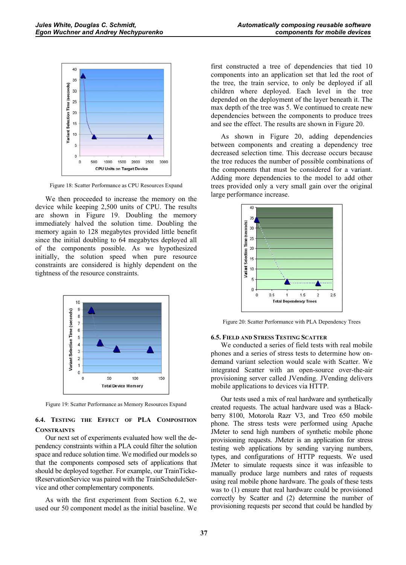

Figure 18: Scatter Performance as CPU Resources Expand

We then proceeded to increase the memory on the device while keeping 2,500 units of CPU. The results are shown in Figure 19. Doubling the memory immediately halved the solution time. Doubling the memory again to 128 megabytes provided little benefit since the initial doubling to 64 megabytes deployed all of the components possible. As we hypothesized initially, the solution speed when pure resource constraints are considered is highly dependent on the tightness of the resource constraints.



Figure 19: Scatter Performance as Memory Resources Expand

# **6.4. TESTING THE EFFECT OF PLA COMPOSITION CONSTRAINTS**

Our next set of experiments evaluated how well the dependency constraints within a PLA could filter the solution space and reduce solution time. We modified our models so that the components composed sets of applications that should be deployed together. For example, our TrainTicketReservationService was paired with the TrainScheduleService and other complementary components.

As with the first experiment from Section 6.2, we used our 50 component model as the initial baseline. We first constructed a tree of dependencies that tied 10 components into an application set that led the root of the tree, the train service, to only be deployed if all children where deployed. Each level in the tree depended on the deployment of the layer beneath it. The max depth of the tree was 5. We continued to create new dependencies between the components to produce trees and see the effect. The results are shown in Figure 20.

As shown in Figure 20, adding dependencies between components and creating a dependency tree decreased selection time. This decrease occurs because the tree reduces the number of possible combinations of the components that must be considered for a variant. Adding more dependencies to the model to add other trees provided only a very small gain over the original large performance increase.



Figure 20: Scatter Performance with PLA Dependency Trees

#### **6.5. FIELD AND STRESS TESTING SCATTER**

We conducted a series of field tests with real mobile phones and a series of stress tests to determine how ondemand variant selection would scale with Scatter. We integrated Scatter with an open-source over-the-air provisioning server called JVending. JVending delivers mobile applications to devices via HTTP.

Our tests used a mix of real hardware and synthetically created requests. The actual hardware used was a Blackberry 8100, Motorola Razr V3, and Treo 650 mobile phone. The stress tests were performed using Apache JMeter to send high numbers of synthetic mobile phone provisioning requests. JMeter is an application for stress testing web applications by sending varying numbers, types, and configurations of HTTP requests. We used JMeter to simulate requests since it was infeasible to manually produce large numbers and rates of requests using real mobile phone hardware. The goals of these tests was to (1) ensure that real hardware could be provisioned correctly by Scatter and (2) determine the number of provisioning requests per second that could be handled by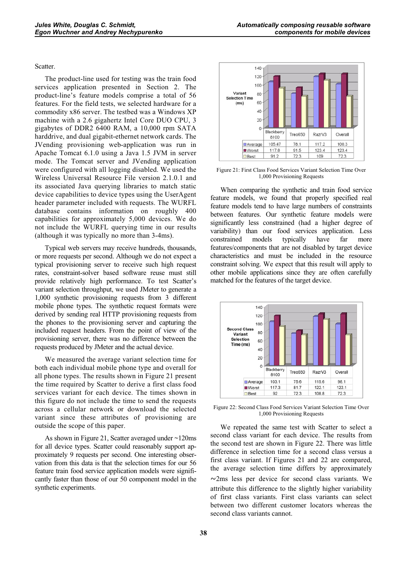#### Scatter.

The product-line used for testing was the train food services application presented in Section 2. The product-line's feature models comprise a total of 56 features. For the field tests, we selected hardware for a commodity x86 server. The testbed was a Windows XP machine with a 2.6 gigahertz Intel Core DUO CPU, 3 gigabytes of DDR2 6400 RAM, a 10,000 rpm SATA harddrive, and dual gigabit-ethernet network cards. The JVending provisioning web-application was run in Apache Tomcat 6.1.0 using a Java 1.5 JVM in server mode. The Tomcat server and JVending application were configured with all logging disabled. We used the Wireless Universal Resource File version 2.1.0.1 and its associated Java querying libraries to match static device capabilities to device types using the UserAgent header parameter included with requests. The WURFL database contains information on roughly 400 capabilities for approximately 5,000 devices. We do not include the WURFL querying time in our results (although it was typically no more than 3-4ms).

Typical web servers may receive hundreds, thousands, or more requests per second. Although we do not expect a typical provisioning server to receive such high request rates, constraint-solver based software reuse must still provide relatively high performance. To test Scatter's variant selection throughput, we used JMeter to generate a 1,000 synthetic provisioning requests from 3 different mobile phone types. The synthetic request formats were derived by sending real HTTP provisioning requests from the phones to the provisioning server and capturing the included request headers. From the point of view of the provisioning server, there was no difference between the requests produced by JMeter and the actual device.

We measured the average variant selection time for both each individual mobile phone type and overall for all phone types. The results shown in Figure 21 present the time required by Scatter to derive a first class food services variant for each device. The times shown in this figure do not include the time to send the requests across a cellular network or download the selected variant since these attributes of provisioning are outside the scope of this paper.

As shown in Figure 21, Scatter averaged under ~120ms for all device types. Scatter could reasonably support approximately 9 requests per second. One interesting observation from this data is that the selection times for our 56 feature train food service application models were significantly faster than those of our 50 component model in the synthetic experiments.



Figure 21: First Class Food Services Variant Selection Time Over 1,000 Provisioning Requests

When comparing the synthetic and train food service feature models, we found that properly specified real feature models tend to have large numbers of constraints between features. Our synthetic feature models were significantly less constrained (had a higher degree of variability) than our food services application. Less constrained models typically have far more features/components that are not disabled by target device characteristics and must be included in the resource constraint solving. We expect that this result will apply to other mobile applications since they are often carefully matched for the features of the target device.



Figure 22: Second Class Food Services Variant Selection Time Over 1,000 Provisioning Requests

We repeated the same test with Scatter to select a second class variant for each device. The results from the second test are shown in Figure 22. There was little difference in selection time for a second class versus a first class variant. If Figures 21 and 22 are compared, the average selection time differs by approximately -2ms less per device for second class variants. We attribute this difference to the slightly higher variability of first class variants. First class variants can select between two different customer locators whereas the second class variants cannot.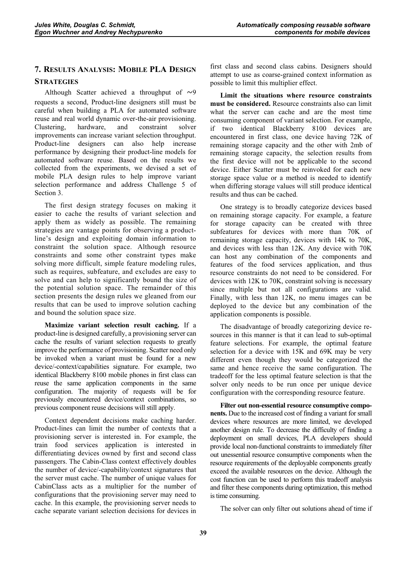# **7. RESULTS ANALYSIS: MOBILE PLA DESIGN STRATEGIES**

Although Scatter achieved a throughput of  $\sim$ 9 requests a second, Product-line designers still must be careful when building a PLA for automated software reuse and real world dynamic over-the-air provisioning. Clustering, hardware, and constraint solver improvements can increase variant selection throughput. Product-line designers can also help increase performance by designing their product-line models for automated software reuse. Based on the results we collected from the experiments, we devised a set of mobile PLA design rules to help improve variant selection performance and address Challenge 5 of Section 3.

The first design strategy focuses on making it easier to cache the results of variant selection and apply them as widely as possible. The remaining strategies are vantage points for observing a productline's design and exploiting domain information to constraint the solution space. Although resource constraints and some other constraint types make solving more difficult, simple feature modeling rules, such as requires, subfeature, and excludes are easy to solve and can help to significantly bound the size of the potential solution space. The remainder of this section presents the design rules we gleaned from our results that can be used to improve solution caching and bound the solution space size.

**Maximize variant selection result caching.** If a product-line is designed carefully, a provisioning server can cache the results of variant selection requests to greatly improve the performance of provisioning. Scatter need only be invoked when a variant must be found for a new device/-context/capabilities signature. For example, two identical Blackberry 8100 mobile phones in first class can reuse the same application components in the same configuration. The majority of requests will be for previously encountered device/context combinations, so previous component reuse decisions will still apply.

Context dependent decisions make caching harder. Product-lines can limit the number of contexts that a provisioning server is interested in. For example, the train food services application is interested in differentiating devices owned by first and second class passengers. The Cabin-Class context effectively doubles the number of device/-capability/context signatures that the server must cache. The number of unique values for CabinClass acts as a multiplier for the number of configurations that the provisioning server may need to cache. In this example, the provisioning server needs to cache separate variant selection decisions for devices in

first class and second class cabins. Designers should attempt to use as coarse-grained context information as possible to limit this multiplier effect.

**Limit the situations where resource constraints must be considered.** Resource constraints also can limit what the server can cache and are the most time consuming component of variant selection. For example, if two identical Blackberry 8100 devices are encountered in first class, one device having 72K of remaining storage capacity and the other with 2mb of remaining storage capacity, the selection results from the first device will not be applicable to the second device. Either Scatter must be reinvoked for each new storage space value or a method is needed to identify when differing storage values will still produce identical results and thus can be cached.

One strategy is to broadly categorize devices based on remaining storage capacity. For example, a feature for storage capacity can be created with three subfeatures for devices with more than 70K of remaining storage capacity, devices with 14K to 70K, and devices with less than 12K. Any device with 70K can host any combination of the components and features of the food services application, and thus resource constraints do not need to be considered. For devices with 12K to 70K, constraint solving is necessary since multiple but not all configurations are valid. Finally, with less than 12K, no menu images can be deployed to the device but any combination of the application components is possible.

The disadvantage of broadly categorizing device resources in this manner is that it can lead to sub-optimal feature selections. For example, the optimal feature selection for a device with 15K and 69K may be very different even though they would be categorized the same and hence receive the same configuration. The tradeoff for the less optimal feature selection is that the solver only needs to be run once per unique device configuration with the corresponding resource feature.

**Filter out non-essential resource consumptive components.** Due to the increased cost of finding a variant for small devices where resources are more limited, we developed another design rule. To decrease the difficulty of finding a deployment on small devices, PLA developers should provide local non-functional constraints to immediately filter out unessential resource consumptive components when the resource requirements of the deployable components greatly exceed the available resources on the device. Although the cost function can be used to perform this tradeoff analysis and filter these components during optimization, this method is time consuming.

The solver can only filter out solutions ahead of time if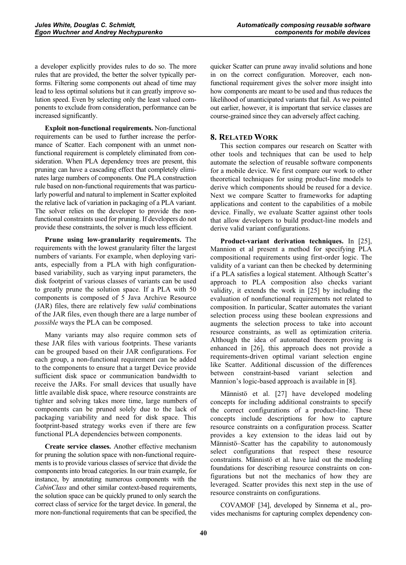a developer explicitly provides rules to do so. The more rules that are provided, the better the solver typically performs. Filtering some components out ahead of time may lead to less optimal solutions but it can greatly improve solution speed. Even by selecting only the least valued components to exclude from consideration, performance can be increased significantly.

**Exploit non-functional requirements.** Non-functional requirements can be used to further increase the performance of Scatter. Each component with an unmet nonfunctional requirement is completely eliminated from consideration. When PLA dependency trees are present, this pruning can have a cascading effect that completely eliminates large numbers of components. One PLA construction rule based on non-functional requirements that was particularly powerful and natural to implement in Scatter exploited the relative lack of variation in packaging of a PLA variant. The solver relies on the developer to provide the nonfunctional constraints used for pruning. If developers do not provide these constraints, the solver is much less efficient.

**Prune using low-granularity requirements.** The requirements with the lowest granularity filter the largest numbers of variants. For example, when deploying variants, especially from a PLA with high configurationbased variability, such as varying input parameters, the disk footprint of various classes of variants can be used to greatly prune the solution space. If a PLA with 50 components is composed of 5 Java Archive Resource (JAR) files, there are relatively few *valid* combinations of the JAR files, even though there are a large number of *possible* ways the PLA can be composed.

Many variants may also require common sets of these JAR files with various footprints. These variants can be grouped based on their JAR configurations. For each group, a non-functional requirement can be added to the components to ensure that a target Device provide sufficient disk space or communication bandwidth to receive the JARs. For small devices that usually have little available disk space, where resource constraints are tighter and solving takes more time, large numbers of components can be pruned solely due to the lack of packaging variability and need for disk space. This footprint-based strategy works even if there are few functional PLA dependencies between components.

**Create service classes.** Another effective mechanism for pruning the solution space with non-functional requirements is to provide various classes of service that divide the components into broad categories. In our train example, for instance, by annotating numerous components with the *CabinClass* and other similar context-based requirements, the solution space can be quickly pruned to only search the correct class of service for the target device. In general, the more non-functional requirements that can be specified, the

quicker Scatter can prune away invalid solutions and hone in on the correct configuration. Moreover, each nonfunctional requirement gives the solver more insight into how components are meant to be used and thus reduces the likelihood of unanticipated variants that fail. As we pointed out earlier, however, it is important that service classes are course-grained since they can adversely affect caching.

# **8. RELATED WORK**

This section compares our research on Scatter with other tools and techniques that can be used to help automate the selection of reusable software components for a mobile device. We first compare our work to other theoretical techniques for using product-line models to derive which components should be reused for a device. Next we compare Scatter to frameworks for adapting applications and content to the capabilities of a mobile device. Finally, we evaluate Scatter against other tools that allow developers to build product-line models and derive valid variant configurations.

**Product-variant derivation techniques.** In [25], Mannion et al present a method for specifying PLA compositional requirements using first-order logic. The validity of a variant can then be checked by determining if a PLA satisfies a logical statement. Although Scatter's approach to PLA composition also checks variant validity, it extends the work in [25] by including the evaluation of nonfunctional requirements not related to composition. In particular, Scatter automates the variant selection process using these boolean expressions and augments the selection process to take into account resource constraints, as well as optimization criteria. Although the idea of automated theorem proving is enhanced in [26], this approach does not provide a requirements-driven optimal variant selection engine like Scatter. Additional discussion of the differences between constraint-based variant selection and Mannion's logic-based approach is available in [8].

Männistö et al. [27] have developed modeling concepts for including additional constraints to specify the correct configurations of a product-line. These concepts include descriptions for how to capture resource constraints on a configuration process. Scatter provides a key extension to the ideas laid out by Männistö–Scatter has the capability to autonomously select configurations that respect these resource constraints. Männistö et al. have laid out the modeling foundations for describing resource constraints on configurations but not the mechanics of how they are leveraged. Scatter provides this next step in the use of resource constraints on configurations.

COVAMOF [34], developed by Sinnema et al., provides mechanisms for capturing complex dependency con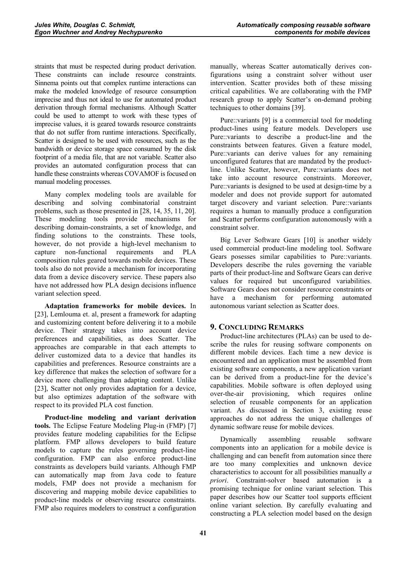straints that must be respected during product derivation. These constraints can include resource constraints. Sinnema points out that complex runtime interactions can make the modeled knowledge of resource consumption imprecise and thus not ideal to use for automated product derivation through formal mechanisms. Although Scatter could be used to attempt to work with these types of imprecise values, it is geared towards resource constraints that do not suffer from runtime interactions. Specifically, Scatter is designed to be used with resources, such as the bandwidth or device storage space consumed by the disk footprint of a media file, that are not variable. Scatter also provides an automated configuration process that can handle these constraints whereas COVAMOF is focused on manual modeling processes.

Many complex modeling tools are available for describing and solving combinatorial constraint problems, such as those presented in [28, 14, 35, 11, 20]. These modeling tools provide mechanisms for describing domain-constraints, a set of knowledge, and finding solutions to the constraints. These tools, however, do not provide a high-level mechanism to capture non-functional requirements and PLA composition rules geared towards mobile devices. These tools also do not provide a mechanism for incorporating data from a device discovery service. These papers also have not addressed how PLA design decisions influence variant selection speed.

**Adaptation frameworks for mobile devices.** In [23], Lemlouma et. al, present a framework for adapting and customizing content before delivering it to a mobile device. Their strategy takes into account device preferences and capabilities, as does Scatter. The approaches are comparable in that each attempts to deliver customized data to a device that handles its capabilities and preferences. Resource constraints are a key difference that makes the selection of software for a device more challenging than adapting content. Unlike [23], Scatter not only provides adaptation for a device, but also optimizes adaptation of the software with respect to its provided PLA cost function.

**Product-line modeling and variant derivation tools.** The Eclipse Feature Modeling Plug-in (FMP) [7] provides feature modeling capabilities for the Eclipse platform. FMP allows developers to build feature models to capture the rules governing product-line configuration. FMP can also enforce product-line constraints as developers build variants. Although FMP can automatically map from Java code to feature models, FMP does not provide a mechanism for discovering and mapping mobile device capabilities to product-line models or observing resource constraints. FMP also requires modelers to construct a configuration manually, whereas Scatter automatically derives configurations using a constraint solver without user intervention. Scatter provides both of these missing critical capabilities. We are collaborating with the FMP research group to apply Scatter's on-demand probing techniques to other domains [39].

Pure::variants [9] is a commercial tool for modeling product-lines using feature models. Developers use Pure::variants to describe a product-line and the constraints between features. Given a feature model, Pure::variants can derive values for any remaining unconfigured features that are mandated by the productline. Unlike Scatter, however, Pure::variants does not take into account resource constraints. Moreover, Pure::variants is designed to be used at design-time by a modeler and does not provide support for automated target discovery and variant selection. Pure::variants requires a human to manually produce a configuration and Scatter performs configuration autonomously with a constraint solver.

Big Lever Software Gears [10] is another widely used commercial product-line modeling tool. Software Gears posesses similar capabilities to Pure::variants. Developers describe the rules governing the variable parts of their product-line and Software Gears can derive values for required but unconfigured variabilities. Software Gears does not consider resource constraints or have a mechanism for performing automated autonomous variant selection as Scatter does.

# **9. CONCLUDING REMARKS**

Product-line architectures (PLAs) can be used to describe the rules for reusing software components on different mobile devices. Each time a new device is encountered and an application must be assembled from existing software components, a new application variant can be derived from a product-line for the device's capabilities. Mobile software is often deployed using over-the-air provisioning, which requires online selection of reusable components for an application variant. As discussed in Section 3, existing reuse approaches do not address the unique challenges of dynamic software reuse for mobile devices.

Dynamically assembling reusable software components into an application for a mobile device is challenging and can benefit from automation since there are too many complexities and unknown device characteristics to account for all possibilities manually *a priori*. Constraint-solver based automation is a promising technique for online variant selection. This paper describes how our Scatter tool supports efficient online variant selection. By carefully evaluating and constructing a PLA selection model based on the design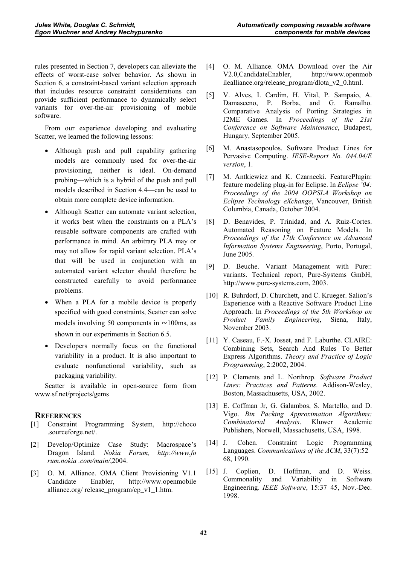rules presented in Section 7, developers can alleviate the effects of worst-case solver behavior. As shown in Section 6, a constraint-based variant selection approach that includes resource constraint considerations can provide sufficient performance to dynamically select variants for over-the-air provisioning of mobile software.

From our experience developing and evaluating Scatter, we learned the following lessons:

- Although push and pull capability gathering models are commonly used for over-the-air provisioning, neither is ideal. On-demand probing—which is a hybrid of the push and pull models described in Section 4.4—can be used to obtain more complete device information.
- Although Scatter can automate variant selection, it works best when the constraints on a PLA's reusable software components are crafted with performance in mind. An arbitrary PLA may or may not allow for rapid variant selection. PLA's that will be used in conjunction with an automated variant selector should therefore be constructed carefully to avoid performance problems.
- When a PLA for a mobile device is properly specified with good constraints, Scatter can solve models involving 50 components in  $\sim$ 100ms, as shown in our experiments in Section 6.5.
- Developers normally focus on the functional variability in a product. It is also important to evaluate nonfunctional variability, such as packaging variability.

Scatter is available in open-source form from www.sf.net/projects/gems

# **REFERENCES**

- [1] Constraint Programming System, http://choco .sourceforge.net/.
- [2] Develop/Optimize Case Study: Macrospace's Dragon Island. *Nokia Forum, http://www.fo rum.nokia .com/main/*,2004.
- [3] O. M. Alliance. OMA Client Provisioning V1.1 Candidate Enabler, http://www.openmobile alliance.org/ release\_program/cp\_v1\_1.htm.
- [4] O. M. Alliance. OMA Download over the Air V2.0,CandidateEnabler, http://www.openmob ilealliance.org/release\_program/dlota\_v2\_0.html.
- [5] V. Alves, I. Cardim, H. Vital, P. Sampaio, A. Damasceno, P. Borba, and G. Ramalho. Comparative Analysis of Porting Strategies in J2ME Games. In *Proceedings of the 21st Conference on Software Maintenance*, Budapest, Hungary, September 2005.
- [6] M. Anastasopoulos. Software Product Lines for Pervasive Computing. *IESE-Report No. 044.04/E version*, 1.
- [7] M. Antkiewicz and K. Czarnecki. FeaturePlugin: feature modeling plug-in for Eclipse. In *Eclipse '04: Proceedings of the 2004 OOPSLA Workshop on Eclipse Technology eXchange*, Vancouver, British Columbia, Canada, October 2004.
- [8] D. Benavides, P. Trinidad, and A. Ruiz-Cortes. Automated Reasoning on Feature Models. In *Proceedings of the 17th Conference on Advanced Information Systems Engineering*, Porto, Portugal, June 2005.
- [9] D. Beuche. Variant Management with Pure:: variants. Technical report, Pure-Systems GmbH, http://www.pure-systems.com, 2003.
- [10] R. Buhrdorf, D. Churchett, and C. Krueger. Salion's Experience with a Reactive Software Product Line Approach. In *Proceedings of the 5th Workshop on Product Family Engineering*, Siena, Italy, November 2003.
- [11] Y. Caseau, F.-X. Josset, and F. Laburthe. CLAIRE: Combining Sets, Search And Rules To Better Express Algorithms. *Theory and Practice of Logic Programming*, 2:2002, 2004.
- [12] P. Clements and L. Northrop. *Software Product Lines: Practices and Patterns*. Addison-Wesley, Boston, Massachusetts, USA, 2002.
- [13] E. Coffman Jr, G. Galambos, S. Martello, and D. Vigo. *Bin Packing Approximation Algorithms: Combinatorial Analysis*. Kluwer Academic Publishers, Norwell, Massachusetts, USA, 1998.
- [14] J. Cohen. Constraint Logic Programming Languages. *Communications of the ACM*, 33(7):52– 68, 1990.
- [15] J. Coplien, D. Hoffman, and D. Weiss. Commonality and Variability in Software Engineering. *IEEE Software*, 15:37–45, Nov.-Dec. 1998.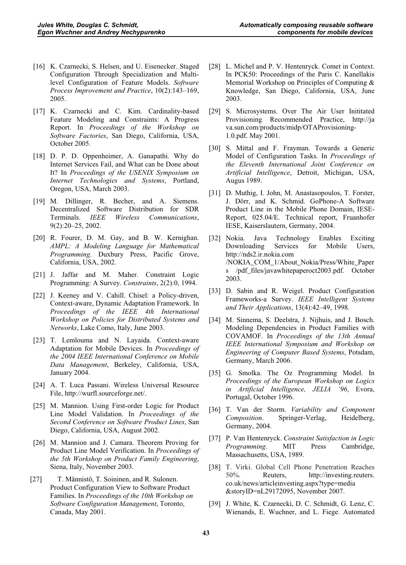- [16] K. Czarnecki, S. Helsen, and U. Eisenecker. Staged Configuration Through Specialization and Multilevel Configuration of Feature Models. *Software Process Improvement and Practice*, 10(2):143–169, 2005.
- [17] K. Czarnecki and C. Kim. Cardinality-based Feature Modeling and Constraints: A Progress Report. In *Proceedings of the Workshop on Software Factories*, San Diego, California, USA, October 2005.
- [18] D. P. D. Oppenheimer, A. Ganapathi. Why do Internet Services Fail, and What can be Done about It? In *Proceedings of the USENIX Symposium on Internet Technologies and Systems*, Portland, Oregon, USA, March 2003.
- [19] M. Dillinger, R. Becher, and A. Siemens. Decentralized Software Distribution for SDR Terminals. *IEEE Wireless Communications*, 9(2):20–25, 2002.
- [20] R. Fourer, D. M. Gay, and B. W. Kernighan. *AMPL: A Modeling Language for Mathematical Programming*. Duxbury Press, Pacific Grove, California, USA, 2002.
- [21] J. Jaffar and M. Maher. Constraint Logic Programming: A Survey. *Constraints*, 2(2):0, 1994.
- [22] J. Keeney and V. Cahill. Chisel: a Policy-driven, Context-aware, Dynamic Adaptation Framework. In *Proceedings of the IEEE 4th International Workshop on Policies for Distributed Systems and Networks*, Lake Como, Italy, June 2003.
- [23] T. Lemlouma and N. Layaida. Context-aware Adaptation for Mobile Devices. In *Proceedings of the 2004 IEEE International Conference on Mobile Data Management*, Berkeley, California, USA, January 2004.
- [24] A. T. Luca Passani. Wireless Universal Resource File, http://wurfl.sourceforge.net/.
- [25] M. Mannion. Using First-order Logic for Product Line Model Validation. In *Proceedings of the Second Conference on Software Product Lines*, San Diego, California, USA, August 2002.
- [26] M. Mannion and J. Camara. Theorem Proving for Product Line Model Verification. In *Proceedings of the 5th Workshop on Product Family Engineering*, Siena, Italy, November 2003.
- [27] T. Männistö, T. Soininen, and R. Sulonen. Product Configuration View to Software Product Families. In *Proceedings of the 10th Workshop on Software Configuration Management*, Toronto, Canada, May 2001.
- [28] L. Michel and P. V. Hentenryck. Comet in Context. In PCK50: Proceedings of the Paris C. Kanellakis Memorial Workshop on Principles of Computing & Knowledge, San Diego, California, USA, June 2003.
- [29] S. Microsystems. Over The Air User Inititated Provisioning Recommended Practice, http://ja va.sun.com/products/midp/OTAProvisioning-1.0.pdf. May 2001.
- [30] S. Mittal and F. Frayman. Towards a Generic Model of Configuration Tasks. In *Proceedings of the Eleventh International Joint Conference on Artificial Intelligence*, Detroit, Michigan, USA, Augus 1989.
- [31] D. Muthig, I. John, M. Anastasopoulos, T. Forster, J. Dörr, and K. Schmid. GoPhone-A Software Product Line in the Mobile Phone Domain, IESE-Report, 025.04/E. Technical report, Fruanhofer IESE, Kaiserslautern, Germany, 2004.
- [32] Nokia. Java Technology Enables Exciting Downloading Services for Mobile Users, http://nds2.ir.nokia.com /NOKIA\_COM\_1/About\_Nokia/Press/White\_Paper s /pdf\_files/javawhitepaperoct2003.pdf. October 2003.
- [33] D. Sabin and R. Weigel. Product Configuration Frameworks-a Survey. *IEEE Intelligent Systems and Their Applications*, 13(4):42–49, 1998.
- [34] M. Sinnema, S. Deelstra, J. Nijhuis, and J. Bosch. Modeling Dependencies in Product Families with COVAMOF. In *Proceedings of the 13th Annual IEEE International Symposium and Workshop on Engineering of Computer Based Systems*, Potsdam, Germany, March 2006.
- [35] G. Smolka. The Oz Programming Model. In *Proceedings of the European Workshop on Logics in Artificial Intelligence, JELIA '96*, Evora, Portugal, October 1996.
- [36] T. Van der Storm. *Variability and Component Composition*. Springer-Verlag, Heidelberg, Germany, 2004.
- [37] P. Van Hentenryck. *Constraint Satisfaction in Logic Programming*. MIT Press Cambridge, Massachusetts, USA, 1989.
- [38] T. Virki. Global Cell Phone Penetration Reaches 50%. Reuters, http://investing.reuters. co.uk/news/articleinvesting.aspx?type=media &storyID=nL29172095, November 2007.
- [39] J. White, K. Czarnecki, D. C. Schmidt, G. Lenz, C. Wienands, E. Wuchner, and L. Fiege. Automated